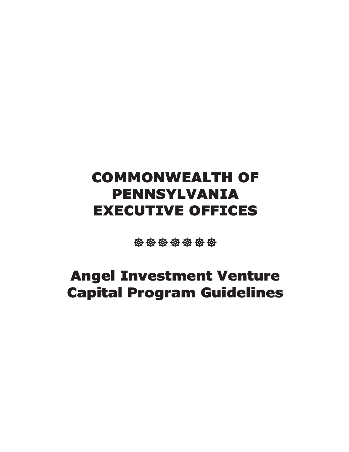# COMMONWEALTH OF PENNSYLVANIA EXECUTIVE OFFICES

\*\*\*\*\*\*\*

# Angel Investment Venture Capital Program Guidelines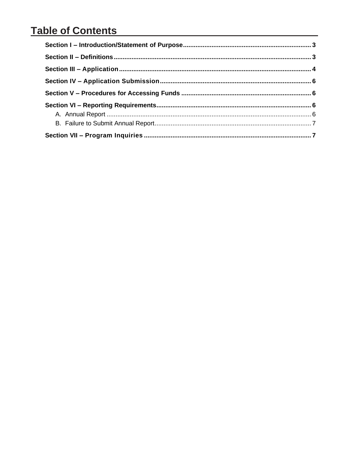#### **Table of Contents**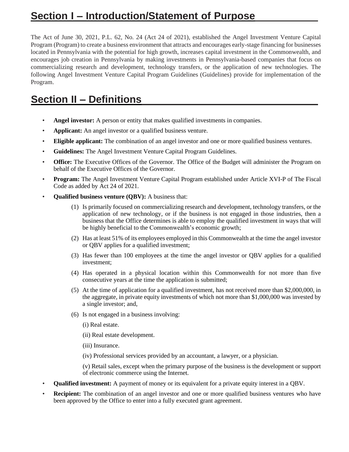#### **Section I – Introduction/Statement of Purpose**

The Act of June 30, 2021, P.L. 62, No. 24 (Act 24 of 2021), established the Angel Investment Venture Capital Program (Program) to create a business environment that attracts and encourages early-stage financing for businesses located in Pennsylvania with the potential for high growth, increases capital investment in the Commonwealth, and encourages job creation in Pennsylvania by making investments in Pennsylvania-based companies that focus on commercializing research and development, technology transfers, or the application of new technologies. The following Angel Investment Venture Capital Program Guidelines (Guidelines) provide for implementation of the Program.

### **Section II – Definitions**

- Angel investor: A person or entity that makes qualified investments in companies.
- **Applicant:** An angel investor or a qualified business venture.
- **Eligible applicant:** The combination of an angel investor and one or more qualified business ventures.
- **Guidelines:** The Angel Investment Venture Capital Program Guidelines.
- **Office:** The Executive Offices of the Governor. The Office of the Budget will administer the Program on behalf of the Executive Offices of the Governor.
- **Program:** The Angel Investment Venture Capital Program established under Article XVI-P of The Fiscal Code as added by Act 24 of 2021.
- **Qualified business venture (QBV):** A business that:
	- (1) Is primarily focused on commercializing research and development, technology transfers, or the application of new technology, or if the business is not engaged in those industries, then a business that the Office determines is able to employ the qualified investment in ways that will be highly beneficial to the Commonwealth's economic growth;
	- (2) Has at least 51% of its employees employed in this Commonwealth at the time the angel investor or QBV applies for a qualified investment;
	- (3) Has fewer than 100 employees at the time the angel investor or QBV applies for a qualified investment;
	- (4) Has operated in a physical location within this Commonwealth for not more than five consecutive years at the time the application is submitted;
	- (5) At the time of application for a qualified investment, has not received more than \$2,000,000, in the aggregate, in private equity investments of which not more than \$1,000,000 was invested by a single investor; and,
	- (6) Is not engaged in a business involving:
		- (i) Real estate.
		- (ii) Real estate development.
		- (iii) Insurance.
		- (iv) Professional services provided by an accountant, a lawyer, or a physician.

(v) Retail sales, except when the primary purpose of the business is the development or support of electronic commerce using the Internet.

- **Qualified investment:** A payment of money or its equivalent for a private equity interest in a QBV.
- **Recipient:** The combination of an angel investor and one or more qualified business ventures who have been approved by the Office to enter into a fully executed grant agreement.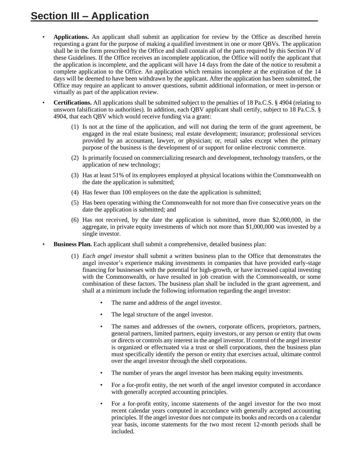- **Applications.** An applicant shall submit an application for review by the Office as described herein requesting a grant for the purpose of making a qualified investment in one or more QBVs. The application shall be in the form prescribed by the Office and shall contain all of the parts required by this Section IV of these Guidelines. If the Office receives an incomplete application, the Office will notify the applicant that the application is incomplete, and the applicant will have 14 days from the date of the notice to resubmit a complete application to the Office. An application which remains incomplete at the expiration of the 14 days will be deemed to have been withdrawn by the applicant. After the application has been submitted, the Office may require an applicant to answer questions, submit additional information, or meet in-person or virtually as part of the application review.
- **Certifications.** All applications shall be submitted subject to the penalties of 18 Pa.C.S. § 4904 (relating to unsworn falsification to authorities). In addition, each QBV applicant shall certify, subject to 18 Pa.C.S. § 4904, that each QBV which would receive funding via a grant:
	- (1) Is not at the time of the application, and will not during the term of the grant agreement, be engaged in the real estate business; real estate development; insurance; professional services provided by an accountant, lawyer, or physician; or, retail sales except when the primary purpose of the business is the development of or support for online electronic commerce.
	- (2) Is primarily focused on commercializing research and development, technology transfers, or the application of new technology;
	- (3) Has at least 51% of its employees employed at physical locations within the Commonwealth on the date the application is submitted;
	- (4) Has fewer than 100 employees on the date the application is submitted;
	- (5) Has been operating withing the Commonwealth for not more than five consecutive years on the date the application is submitted; and
	- (6) Has not received, by the date the application is submitted, more than \$2,000,000, in the aggregate, in private equity investments of which not more than \$1,000,000 was invested by a single investor.
- **Business Plan.** Each applicant shall submit a comprehensive, detailed business plan:
	- (1) *Each angel investor* shall submit a written business plan to the Office that demonstrates the angel investor's experience making investments in companies that have provided early-stage financing for businesses with the potential for high-growth, or have increased capital investing with the Commonwealth, or have resulted in job creation with the Commonwealth, or some combination of these factors. The business plan shall be included in the grant agreement, and shall at a minimum include the following information regarding the angel investor:
		- The name and address of the angel investor.
		- The legal structure of the angel investor.
		- The names and addresses of the owners, corporate officers, proprietors, partners, general partners, limited partners, equity investors, or any person or entity that owns or directs or controls any interest in the angel investor. If control of the angel investor is organized or effectuated via a trust or shell corporations, then the business plan must specifically identify the person or entity that exercises actual, ultimate control over the angel investor through the shell corporations.
		- The number of years the angel investor has been making equity investments.
		- For a for-profit entity, the net worth of the angel investor computed in accordance with generally accepted accounting principles.
		- For a for-profit entity, income statements of the angel investor for the two most recent calendar years computed in accordance with generally accepted accounting principles. If the angel investor does not compute its books and records on a calendar year basis, income statements for the two most recent 12-month periods shall be included.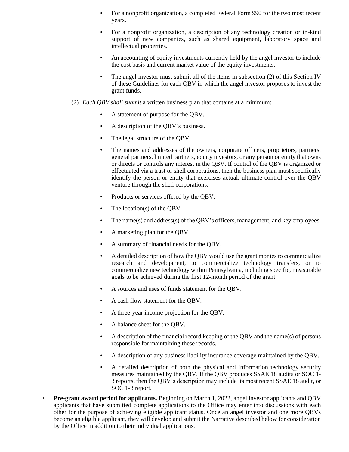- For a nonprofit organization, a completed Federal Form 990 for the two most recent years.
- For a nonprofit organization, a description of any technology creation or in-kind support of new companies, such as shared equipment, laboratory space and intellectual properties.
- An accounting of equity investments currently held by the angel investor to include the cost basis and current market value of the equity investments.
- The angel investor must submit all of the items in subsection (2) of this Section IV of these Guidelines for each QBV in which the angel investor proposes to invest the grant funds.
- (2) *Each QBV shall submit* a written business plan that contains at a minimum:
	- A statement of purpose for the QBV.
	- A description of the QBV's business.
	- The legal structure of the QBV.
	- The names and addresses of the owners, corporate officers, proprietors, partners, general partners, limited partners, equity investors, or any person or entity that owns or directs or controls any interest in the QBV. If control of the QBV is organized or effectuated via a trust or shell corporations, then the business plan must specifically identify the person or entity that exercises actual, ultimate control over the QBV venture through the shell corporations.
	- Products or services offered by the QBV.
	- The location(s) of the QBV.
	- The name(s) and address(s) of the QBV's officers, management, and key employees.
	- A marketing plan for the QBV.
	- A summary of financial needs for the QBV.
	- A detailed description of how the QBV would use the grant monies to commercialize research and development, to commercialize technology transfers, or to commercialize new technology within Pennsylvania, including specific, measurable goals to be achieved during the first 12-month period of the grant.
	- A sources and uses of funds statement for the QBV.
	- A cash flow statement for the QBV.
	- A three-year income projection for the QBV.
	- A balance sheet for the QBV.
	- A description of the financial record keeping of the QBV and the name(s) of persons responsible for maintaining these records.
	- A description of any business liability insurance coverage maintained by the QBV.
	- A detailed description of both the physical and information technology security measures maintained by the QBV. If the QBV produces SSAE 18 audits or SOC 1- 3 reports, then the QBV's description may include its most recent SSAE 18 audit, or SOC 1-3 report.
- **Pre-grant award period for applicants.** Beginning on March 1, 2022, angel investor applicants and QBV applicants that have submitted complete applications to the Office may enter into discussions with each other for the purpose of achieving eligible applicant status. Once an angel investor and one more QBVs become an eligible applicant, they will develop and submit the Narrative described below for consideration by the Office in addition to their individual applications.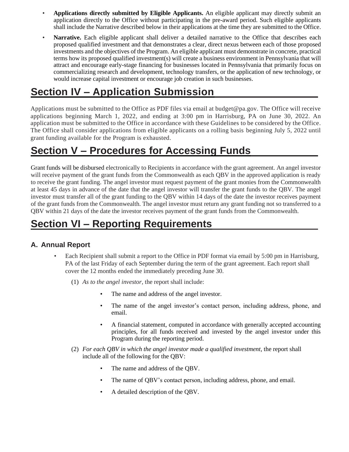- **Applications directly submitted by Eligible Applicants.** An eligible applicant may directly submit an application directly to the Office without participating in the pre-award period. Such eligible applicants shall include the Narrative described below in their applications at the time they are submitted to the Office.
- **Narrative.** Each eligible applicant shall deliver a detailed narrative to the Office that describes each proposed qualified investment and that demonstrates a clear, direct nexus between each of those proposed investments and the objectives of the Program. An eligible applicant must demonstrate in concrete, practical terms how its proposed qualified investment(s) will create a business environment in Pennsylvania that will attract and encourage early-stage financing for businesses located in Pennsylvania that primarily focus on commercializing research and development, technology transfers, or the application of new technology, or would increase capital investment or encourage job creation in such businesses.

## **Section IV – Application Submission**

Applications must be submitted to the Office as PDF files via email at budget@pa.gov. The Office will receive applications beginning March 1, 2022, and ending at 3:00 pm in Harrisburg, PA on June 30, 2022. An application must be submitted to the Office in accordance with these Guidelines to be considered by the Office. The Office shall consider applications from eligible applicants on a rolling basis beginning July 5, 2022 until grant funding available for the Program is exhausted.

## **Section V – Procedures for Accessing Funds**

Grant funds will be disbursed electronically to Recipients in accordance with the grant agreement. An angel investor will receive payment of the grant funds from the Commonwealth as each QBV in the approved application is ready to receive the grant funding. The angel investor must request payment of the grant monies from the Commonwealth at least 45 days in advance of the date that the angel investor will transfer the grant funds to the QBV. The angel investor must transfer all of the grant funding to the QBV within 14 days of the date the investor receives payment of the grant funds from the Commonwealth. The angel investor must return any grant funding not so transferred to a QBV within 21 days of the date the investor receives payment of the grant funds from the Commonwealth.

## **Section VI – Reporting Requirements**

#### **A. Annual Report**

- Each Recipient shall submit a report to the Office in PDF format via email by 5:00 pm in Harrisburg, PA of the last Friday of each September during the term of the grant agreement. Each report shall cover the 12 months ended the immediately preceding June 30.
	- (1) *As to the angel investor,* the report shall include:
		- The name and address of the angel investor.
		- The name of the angel investor's contact person, including address, phone, and email.
		- A financial statement, computed in accordance with generally accepted accounting principles, for all funds received and invested by the angel investor under this Program during the reporting period.
	- (2) *For each QBV in which the angel investor made a qualified investment*, the report shall include all of the following for the QBV:
		- The name and address of the OBV.
		- The name of QBV's contact person, including address, phone, and email.
		- A detailed description of the QBV.